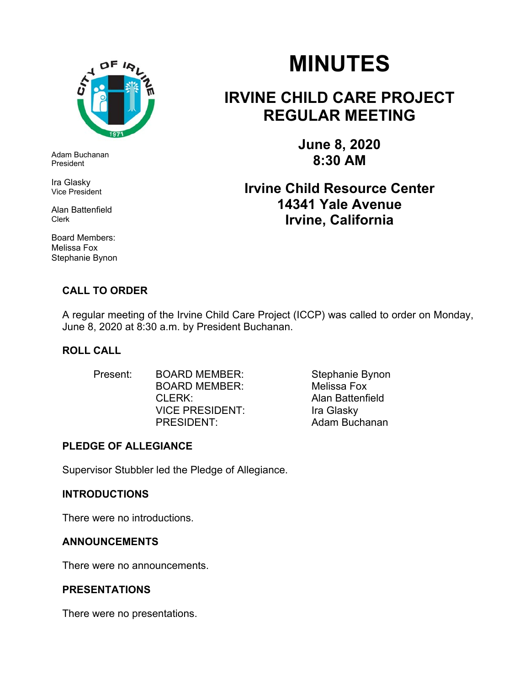

Adam Buchanan President

Ira Glasky Vice President

Alan Battenfield Clerk

Board Members: Melissa Fox Stephanie Bynon

# **MINUTES**

## **IRVINE CHILD CARE PROJECT REGULAR MEETING**

**June 8, 2020 8:30 AM** 

### **Irvine Child Resource Center 14341 Yale Avenue Irvine, California**

**CALL TO ORDER** 

A regular meeting of the Irvine Child Care Project (ICCP) was called to order on Monday, June 8, 2020 at 8:30 a.m. by President Buchanan.

#### **ROLL CALL**

Present: BOARD MEMBER: Stephanie Bynon<br>BOARD MEMBER: Melissa Fox BOARD MEMBER: CLERK: Alan Battenfield VICE PRESIDENT:Ira Glasky PRESIDENT: Adam Buchanan

#### **PLEDGE OF ALLEGIANCE**

Supervisor Stubbler led the Pledge of Allegiance.

#### **INTRODUCTIONS**

There were no introductions.

#### **ANNOUNCEMENTS**

There were no announcements.

#### **PRESENTATIONS**

There were no presentations.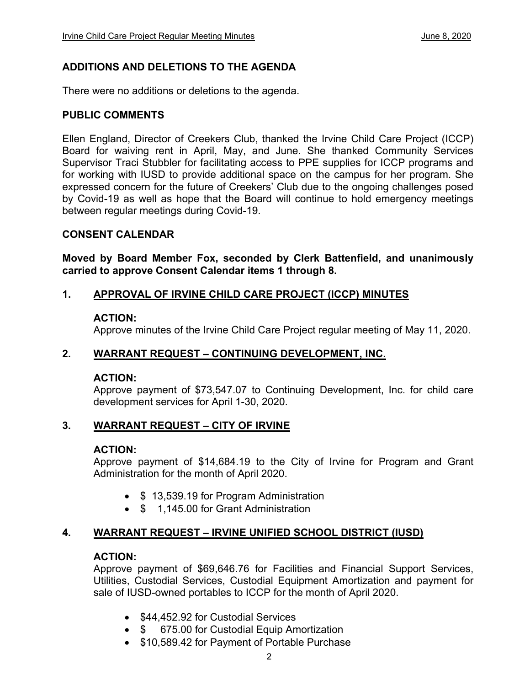#### **ADDITIONS AND DELETIONS TO THE AGENDA**

There were no additions or deletions to the agenda.

#### **PUBLIC COMMENTS**

Ellen England, Director of Creekers Club, thanked the Irvine Child Care Project (ICCP) Board for waiving rent in April, May, and June. She thanked Community Services Supervisor Traci Stubbler for facilitating access to PPE supplies for ICCP programs and for working with IUSD to provide additional space on the campus for her program. She expressed concern for the future of Creekers' Club due to the ongoing challenges posed by Covid-19 as well as hope that the Board will continue to hold emergency meetings between regular meetings during Covid-19.

#### **CONSENT CALENDAR**

**Moved by Board Member Fox, seconded by Clerk Battenfield, and unanimously carried to approve Consent Calendar items 1 through 8.** 

#### **1. APPROVAL OF IRVINE CHILD CARE PROJECT (ICCP) MINUTES**

#### **ACTION:**

Approve minutes of the Irvine Child Care Project regular meeting of May 11, 2020.

#### **2. WARRANT REQUEST – CONTINUING DEVELOPMENT, INC.**

#### **ACTION:**

Approve payment of \$73,547.07 to Continuing Development, Inc. for child care development services for April 1-30, 2020.

#### **3. WARRANT REQUEST – CITY OF IRVINE**

#### **ACTION:**

Approve payment of \$14,684.19 to the City of Irvine for Program and Grant Administration for the month of April 2020.

- \$13,539.19 for Program Administration
- \$ 1,145.00 for Grant Administration

#### **4. WARRANT REQUEST – IRVINE UNIFIED SCHOOL DISTRICT (IUSD)**

#### **ACTION:**

Approve payment of \$69,646.76 for Facilities and Financial Support Services, Utilities, Custodial Services, Custodial Equipment Amortization and payment for sale of IUSD-owned portables to ICCP for the month of April 2020.

- \$44,452.92 for Custodial Services
- \$ 675.00 for Custodial Equip Amortization
- \$10,589.42 for Payment of Portable Purchase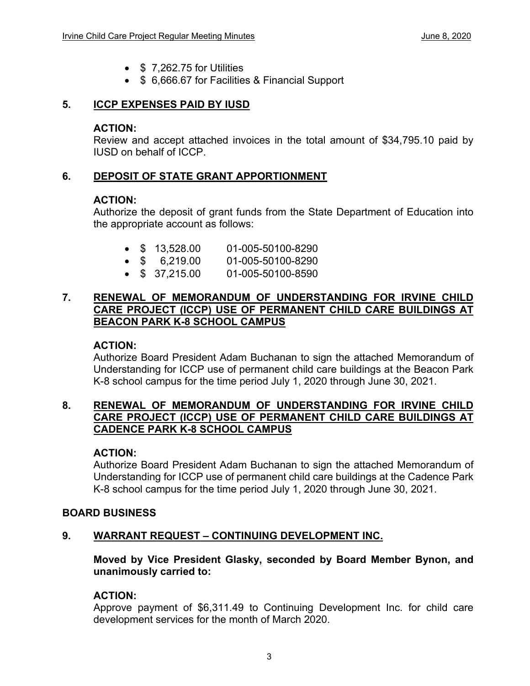- $\bullet$  \$ 7.262.75 for Utilities
- **S** 6,666.67 for Facilities & Financial Support

#### **5. ICCP EXPENSES PAID BY IUSD**

#### **ACTION:**

Review and accept attached invoices in the total amount of \$34,795.10 paid by IUSD on behalf of ICCP.

#### **6. DEPOSIT OF STATE GRANT APPORTIONMENT**

#### **ACTION:**

Authorize the deposit of grant funds from the State Department of Education into the appropriate account as follows:

- \$ 13,528.00 01-005-50100-8290
- $\bullet$  \$ 6,219.00 01-005-50100-8290
- \$ 37,215.00 01-005-50100-8590

#### **7. RENEWAL OF MEMORANDUM OF UNDERSTANDING FOR IRVINE CHILD CARE PROJECT (ICCP) USE OF PERMANENT CHILD CARE BUILDINGS AT BEACON PARK K-8 SCHOOL CAMPUS**

#### **ACTION:**

Authorize Board President Adam Buchanan to sign the attached Memorandum of Understanding for ICCP use of permanent child care buildings at the Beacon Park K-8 school campus for the time period July 1, 2020 through June 30, 2021.

#### **8. RENEWAL OF MEMORANDUM OF UNDERSTANDING FOR IRVINE CHILD CARE PROJECT (ICCP) USE OF PERMANENT CHILD CARE BUILDINGS AT CADENCE PARK K-8 SCHOOL CAMPUS**

#### **ACTION:**

Authorize Board President Adam Buchanan to sign the attached Memorandum of Understanding for ICCP use of permanent child care buildings at the Cadence Park K-8 school campus for the time period July 1, 2020 through June 30, 2021.

#### **BOARD BUSINESS**

#### **9. WARRANT REQUEST – CONTINUING DEVELOPMENT INC.**

**Moved by Vice President Glasky, seconded by Board Member Bynon, and unanimously carried to:** 

#### **ACTION:**

Approve payment of \$6,311.49 to Continuing Development Inc. for child care development services for the month of March 2020.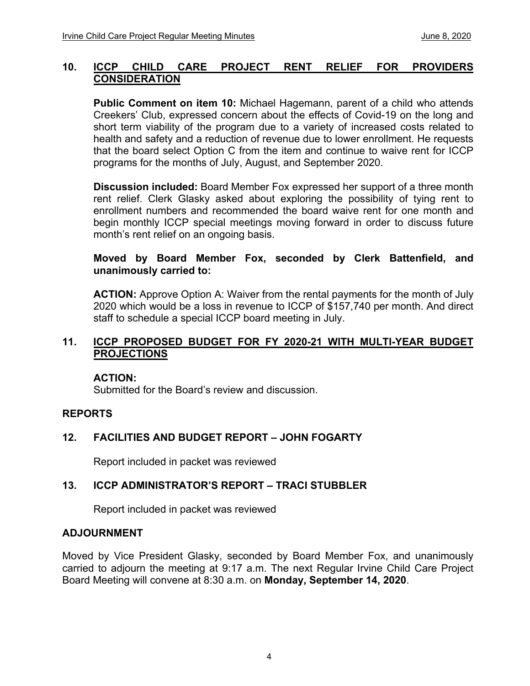#### **10. ICCP CHILD CARE PROJECT RENT RELIEF FOR PROVIDERS CONSIDERATION**

**Public Comment on item 10:** Michael Hagemann, parent of a child who attends Creekers' Club, expressed concern about the effects of Covid-19 on the long and short term viability of the program due to a variety of increased costs related to health and safety and a reduction of revenue due to lower enrollment. He requests that the board select Option C from the item and continue to waive rent for ICCP programs for the months of July, August, and September 2020.

**Discussion included:** Board Member Fox expressed her support of a three month rent relief. Clerk Glasky asked about exploring the possibility of tying rent to enrollment numbers and recommended the board waive rent for one month and begin monthly ICCP special meetings moving forward in order to discuss future month's rent relief on an ongoing basis.

#### **Moved by Board Member Fox, seconded by Clerk Battenfield, and unanimously carried to:**

**ACTION:** Approve Option A: Waiver from the rental payments for the month of July 2020 which would be a loss in revenue to ICCP of \$157,740 per month. And direct staff to schedule a special ICCP board meeting in July.

#### **11. ICCP PROPOSED BUDGET FOR FY 2020-21 WITH MULTI-YEAR BUDGET PROJECTIONS**

#### **ACTION:**

Submitted for the Board's review and discussion.

#### **REPORTS**

#### **12. FACILITIES AND BUDGET REPORT – JOHN FOGARTY**

Report included in packet was reviewed

#### **13. ICCP ADMINISTRATOR'S REPORT – TRACI STUBBLER**

Report included in packet was reviewed

#### **ADJOURNMENT**

Moved by Vice President Glasky, seconded by Board Member Fox, and unanimously carried to adjourn the meeting at 9:17 a.m. The next Regular Irvine Child Care Project Board Meeting will convene at 8:30 a.m. on **Monday, September 14, 2020**.